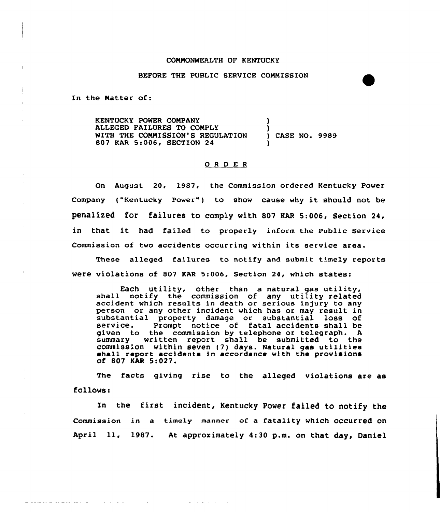### COMMONWEALTH OF KENTUCKY

### BEFORE THE PUBLIC SERVICE COMMISSION

In the Natter of:

KENTUCKY POWER COMPANY ALLEGED FAILURES TO COMPLY WITH THE COMNISSION'S REGULATION ) CASE NO. 9989 807 KAR 5:006, SECTION 24

## 0 R <sup>D</sup> E <sup>R</sup>

On August 20, 1987, the Commission ordered Kentucky Power Company ("Kentucky Power") to show cause why it should not be penalized for failures to comply with 807 KAR 5:006, Section 24, in that it had failed to properly inform the Public Service Commission of two accidents occurring within its service area.

These alleged failures to notify and submit timely reports were violations of 807 KAR 5:006, Section 24, which states:

Each utility, other than <sup>a</sup> natural gas utility, shall notify the commission of any utility related accident which results in death or serious injury to any person or any other incident which has or may result in substantial property damage or substantial loss of service. Prompt notice of fatal accidents shall be given to the commission by telephone or telegraph. <sup>A</sup> summary written report shall be submitted to the<br>commission within seven (7) days. Natural gas utilities shall report accidents in accordance with the provisions of 807 KAR 5:027.

The facts giving rise to the alleged violations are as follows:

In the first incident, Kentucky Power failed to notify the Commission in a timely manner of a fatality which occurred on April 11, 1987. At approximately 4:30 p.m. on that day, Daniel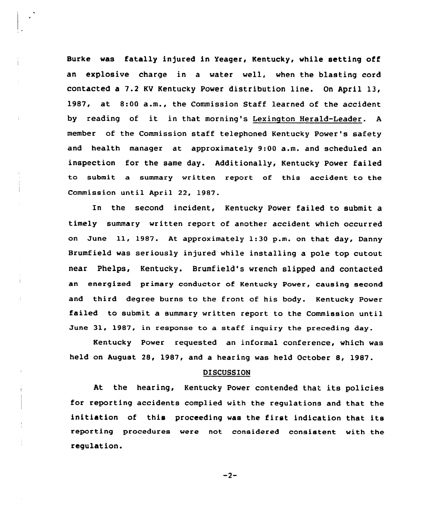Burke was fatally injured in Yeager, Kentucky, while setting off an explosive charge in a water well, when the blasting cord contacted a 7.2 KV Kentucky Power distribution line. On April 13, 1987, at 8:00 a.m., the Commission Staff learned of the accident by reading of it in that morning's Lexington Herald-Leader. <sup>A</sup> member of the Commission staff telephoned Kentucky Power's safety and health manager at approximately 9:00 a.m. and scheduled an inspection for the same day. Additionally, Kentucky Power failed to submit a summary written report of this accident to the Commission until April 22, 1987.

In the second incident, Kentucky Power failed to submit a timely summary written report of another accident which occurred on June 11, 1987. At approximately 1:30 p.m. on that day, Danny Brumfield was seriously injured while installing a pole top cutout near Phelps, Kentucky. Brumfield's wrench slipped and contacted an energized primary conductor of Kentucky Power, causing second and third degree burns to the front of his body. Kentucky Power fai1ed to submit a summary written report to the Commission until June 31, 1987, in response to a staff inquiry the preceding day.

Kentucky Power requested an informal conference, which was held on August 28, 1987, and a hearing was held October 8, 1987.

### DISCUSSION

At the hearing, Kentucky Power contended that its policies for reporting accidents complied with the regulations and that the initiation of this proceeding was the first indication that its reporting procedures were not considered consistent with the regulation.

 $-2-$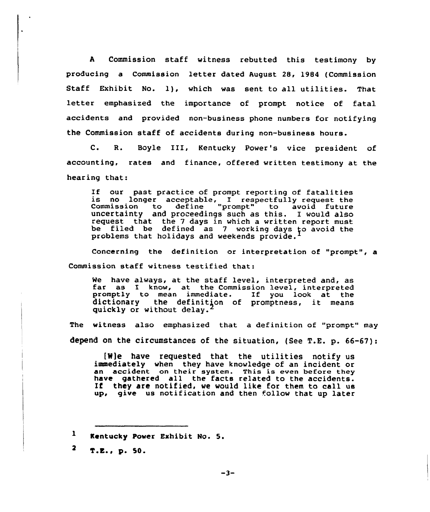<sup>A</sup> Commission staff witness rebutted this testimony by producing a Commission letter dated August 2S, 1984 (Commission Staff Exhibit No. 1), which was sent to all utilities. That letter emphasized the importance of prompt notice of fatal accidents and provided non-business phone numbers for notifying the Commission staff of accidents during non-business hours.

C. R. Hoyle III, Kentucky power's vice president of accounting, rates and finance, offered written testimony at the hearing that:

If our past practice of prompt reporting of fatalities is no longer acceptable, <sup>I</sup> respectfully request the Commission to define "prompt" to avoid future uncertainty and proceedings such as this. I would also request that the 7 days in which a written report mus eductor that the *r* days in which a written report mast<br>be filed be defined as 7 working days to avoid the<br>problems that holidays and weekends provide.

Concerning the definition or interpretation of "prompt", a Commission staff witness testified that:

We have always, at the staff level, interpreted and, as far as I know, at the Commission level, interpreted promptly to mean immediate. If you look at the dictionary the definitjon of promptness, it means quickly or without delay.

The witness also emphasized that a definition of "prompt" may depend on the circumstances of the situation, (See T.E. p. 66-67):

[W]e have requested that the utilities notify us immediately when they have knowledge of an incident or an accident on their system. This is even before they have gathered all the facts related to the accidents.<br>If they are notified, we would like for them to call us up, give us notification and then follow that up later

 $2$  T.E., p. 50.

 $\mathbf{1}$ Kentucky Power Exhibit No. 5.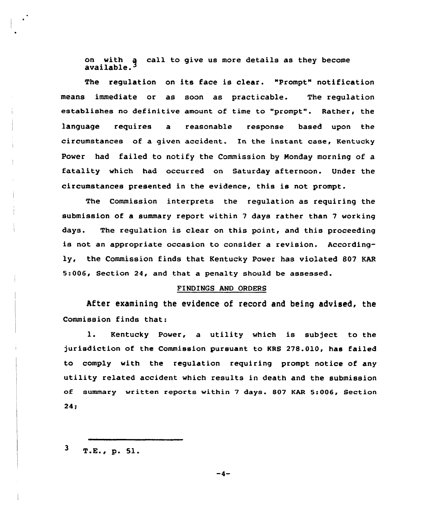on with a call to give us more details as they become<br>available.<sup>3</sup> available.

The regulation on its face is clear. "Prompt" notification means immediate or as soon as practicable. The regulation establishes no definitive amount of time to "prompt". Rather, the language requires a reasonable response based upon the circumstances of a given accident. In the instant case, Kentucky Power had failed to notify the Commission by Monday morning of a fatality which had occurred on Saturday afternoon. Under the circumstances presented in the evidence, this is not prompt.

The Commission interprets the regulation as requiring the submission of a summary report within 7 days rather than 7 working days. The regulation is clear on this point, and this proceeding is not an appropriate occasion to consider a revision. Accordingly, the Commission finds that Kentucky Power has violated 807 KAR 5:006, Section 24, and that a penalty should be assessed.

# FINDINGS AND ORDERS

After examining the evidence of record and being advised, the Commission finds that:

1. Kentucky Power, <sup>a</sup> utility which is subject to the jurisdiction of the Commission pursuant to KRS 278.0l0, has failed to comply with the regulation requiring prompt notice of any utility related accident which results in death and the submission of summary written reports within 7 days. 807 KAR 5:006, Section 24;

 $3$  T.E., p. 51.

 $-4-$